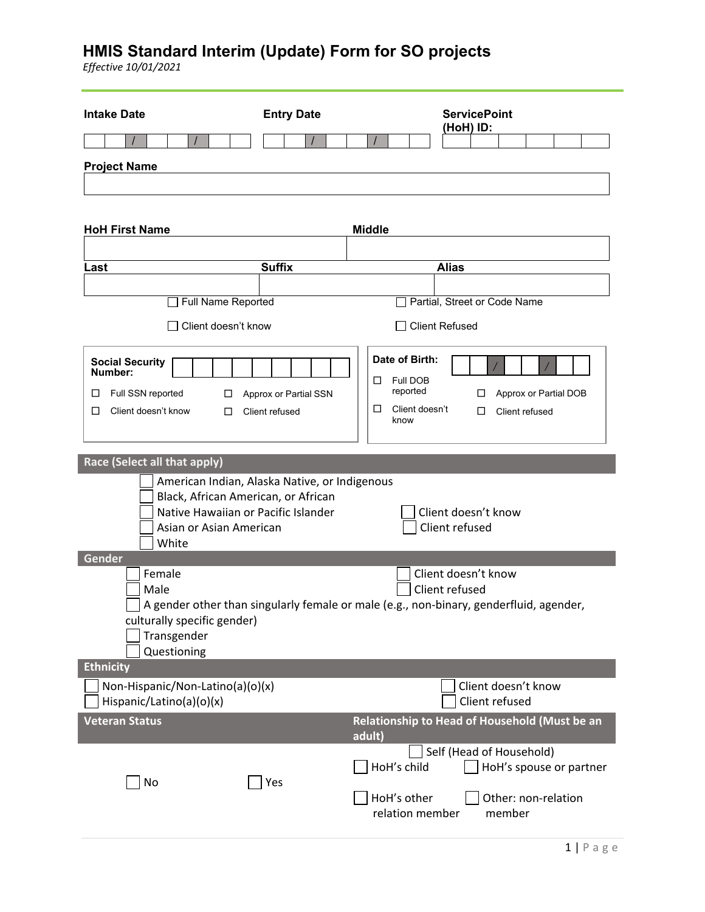| <b>Intake Date</b>                                             | <b>Entry Date</b>                             | <b>ServicePoint</b><br>(HoH) ID:                                                       |
|----------------------------------------------------------------|-----------------------------------------------|----------------------------------------------------------------------------------------|
|                                                                |                                               |                                                                                        |
| <b>Project Name</b>                                            |                                               |                                                                                        |
|                                                                |                                               |                                                                                        |
|                                                                |                                               |                                                                                        |
| <b>HoH First Name</b>                                          |                                               | <b>Middle</b>                                                                          |
|                                                                |                                               |                                                                                        |
| Last                                                           | <b>Suffix</b>                                 | <b>Alias</b>                                                                           |
|                                                                |                                               |                                                                                        |
| Full Name Reported                                             |                                               | Partial, Street or Code Name                                                           |
| Client doesn't know                                            |                                               | <b>Client Refused</b>                                                                  |
| <b>Social Security</b>                                         |                                               | Date of Birth:                                                                         |
| Number:                                                        |                                               | Full DOB<br>ப                                                                          |
| Full SSN reported<br>⊔<br>□                                    | Approx or Partial SSN                         | reported<br>Approx or Partial DOB<br>□<br>Client doesn't<br>□                          |
| □<br>Client doesn't know<br>□                                  | Client refused                                | Client refused<br>□<br>know                                                            |
|                                                                |                                               |                                                                                        |
| Race (Select all that apply)                                   |                                               |                                                                                        |
|                                                                | American Indian, Alaska Native, or Indigenous |                                                                                        |
| Black, African American, or African                            |                                               |                                                                                        |
| Native Hawaiian or Pacific Islander<br>Asian or Asian American |                                               | Client doesn't know<br>Client refused                                                  |
| White                                                          |                                               |                                                                                        |
| Gender                                                         |                                               |                                                                                        |
| Female<br>Male                                                 |                                               | Client doesn't know<br>Client refused                                                  |
|                                                                |                                               | A gender other than singularly female or male (e.g., non-binary, genderfluid, agender, |
| culturally specific gender)                                    |                                               |                                                                                        |
| Transgender<br>Questioning                                     |                                               |                                                                                        |
| <b>Ethnicity</b>                                               |                                               |                                                                                        |
| Non-Hispanic/Non-Latino(a)(o)(x)                               |                                               | Client doesn't know                                                                    |
| Hispanic/Latino(a)(o)(x)                                       |                                               | Client refused                                                                         |
| <b>Veteran Status</b>                                          |                                               | Relationship to Head of Household (Must be an<br>adult)                                |
|                                                                |                                               | Self (Head of Household)                                                               |
| No                                                             | Yes                                           | HoH's child<br>HoH's spouse or partner                                                 |
|                                                                |                                               | HoH's other<br>Other: non-relation                                                     |
|                                                                |                                               | relation member<br>member                                                              |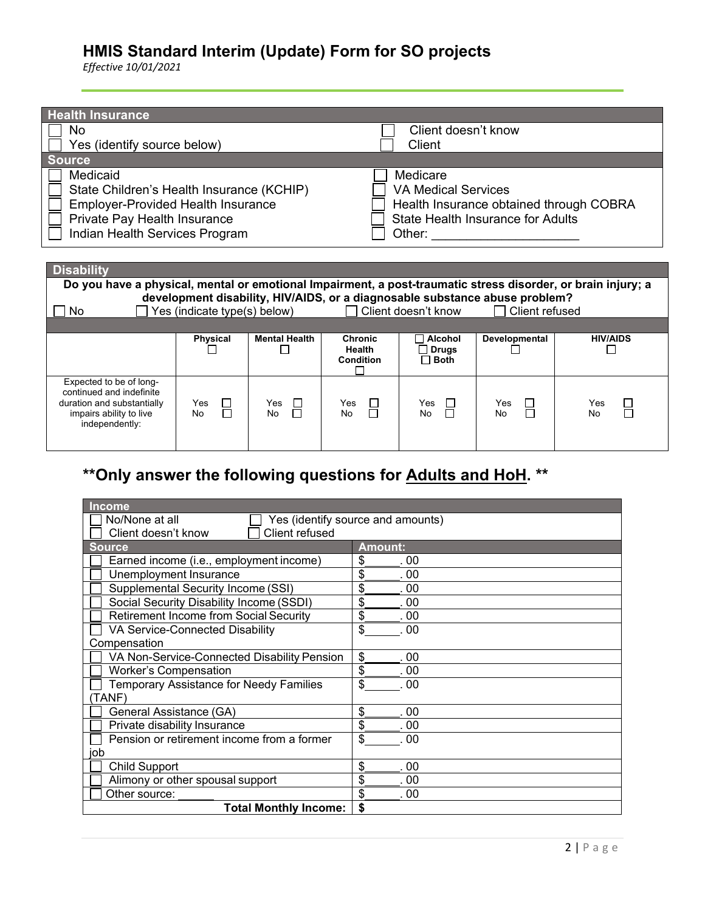*Effective 10/01/2021*

| <b>Health Insurance</b>                   |                              |                      |                                   |                            |                                                                             |                                                                                                              |
|-------------------------------------------|------------------------------|----------------------|-----------------------------------|----------------------------|-----------------------------------------------------------------------------|--------------------------------------------------------------------------------------------------------------|
| No                                        |                              |                      |                                   | Client doesn't know        |                                                                             |                                                                                                              |
| Yes (identify source below)               |                              |                      |                                   | Client                     |                                                                             |                                                                                                              |
| <b>Source</b>                             |                              |                      |                                   |                            |                                                                             |                                                                                                              |
| Medicaid                                  |                              |                      |                                   | Medicare                   |                                                                             |                                                                                                              |
| State Children's Health Insurance (KCHIP) |                              |                      |                                   | <b>VA Medical Services</b> |                                                                             |                                                                                                              |
| <b>Employer-Provided Health Insurance</b> |                              |                      |                                   |                            |                                                                             | Health Insurance obtained through COBRA                                                                      |
| Private Pay Health Insurance              |                              |                      |                                   |                            | <b>State Health Insurance for Adults</b>                                    |                                                                                                              |
| Indian Health Services Program            |                              |                      |                                   |                            |                                                                             |                                                                                                              |
|                                           |                              |                      |                                   |                            | Other: <u>_______________</u>                                               |                                                                                                              |
|                                           |                              |                      |                                   |                            |                                                                             |                                                                                                              |
| <b>Disability</b>                         |                              |                      |                                   |                            |                                                                             |                                                                                                              |
|                                           |                              |                      |                                   |                            |                                                                             |                                                                                                              |
|                                           |                              |                      |                                   |                            |                                                                             | Do you have a physical, mental or emotional Impairment, a post-traumatic stress disorder, or brain injury; a |
|                                           |                              |                      |                                   |                            | development disability, HIV/AIDS, or a diagnosable substance abuse problem? |                                                                                                              |
| No.                                       | Yes (indicate type(s) below) |                      | and the state of the state of the | Client doesn't know        | Client refused                                                              |                                                                                                              |
|                                           |                              |                      |                                   |                            |                                                                             |                                                                                                              |
|                                           | <b>Physical</b>              | <b>Mental Health</b> | <b>Chronic</b>                    | $\sqcap$ Alcohol           | Developmental                                                               | <b>HIV/AIDS</b>                                                                                              |
|                                           |                              |                      | Health                            | <b>Drugs</b>               |                                                                             | $\mathsf{L}$                                                                                                 |
|                                           |                              |                      | Condition                         | $\sqcap$ Both              |                                                                             |                                                                                                              |
| Expected to be of long-                   |                              |                      |                                   |                            |                                                                             |                                                                                                              |
| continued and indefinite                  |                              |                      |                                   |                            |                                                                             |                                                                                                              |
| duration and substantially                | Yes                          | Yes                  | Yes<br>$\Box$<br>П                | Yes<br>$\Box$              | Yes                                                                         | Yes                                                                                                          |
| impairs ability to live<br>independently: | H<br><b>No</b>               | No                   | No                                | No                         | No                                                                          | No                                                                                                           |

# **\*\*Only answer the following questions for Adults and HoH. \*\***

| Income                                         |                                   |  |  |
|------------------------------------------------|-----------------------------------|--|--|
| No/None at all                                 | Yes (identify source and amounts) |  |  |
| Client refused<br>Client doesn't know          |                                   |  |  |
| <b>Source</b>                                  | <b>Amount:</b>                    |  |  |
| Earned income (i.e., employment income)        | \$<br>.00                         |  |  |
| Unemployment Insurance                         | \$<br>.00                         |  |  |
| Supplemental Security Income (SSI)             | \$<br>.00                         |  |  |
| Social Security Disability Income (SSDI)       | \$<br>. 00                        |  |  |
| <b>Retirement Income from Social Security</b>  | \$<br>.00                         |  |  |
| VA Service-Connected Disability                | \$<br>.00                         |  |  |
| Compensation                                   |                                   |  |  |
| VA Non-Service-Connected Disability Pension    | \$<br>. 00                        |  |  |
| <b>Worker's Compensation</b>                   | \$<br>.00                         |  |  |
| <b>Temporary Assistance for Needy Families</b> | \$<br>00                          |  |  |
| (TANF)                                         |                                   |  |  |
| General Assistance (GA)                        | \$<br>.00                         |  |  |
| Private disability Insurance                   | \$<br>. 00                        |  |  |
| Pension or retirement income from a former     | \$<br>00                          |  |  |
| job                                            |                                   |  |  |
| <b>Child Support</b>                           | \$<br>.00                         |  |  |
| Alimony or other spousal support               | \$<br>.00                         |  |  |
| Other source:                                  | \$<br>.00                         |  |  |
| <b>Total Monthly Income:</b>                   | \$                                |  |  |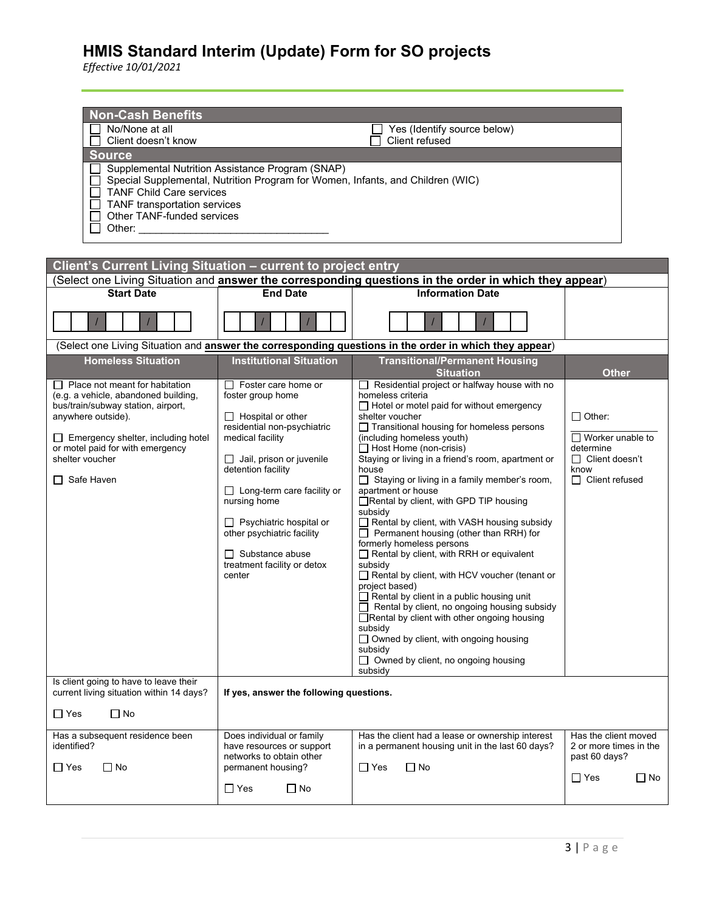| <b>Non-Cash Benefits</b><br>No/None at all<br>Yes (Identify source below)<br>Client doesn't know<br>Client refused<br><b>Source</b><br>Supplemental Nutrition Assistance Program (SNAP)<br>Special Supplemental, Nutrition Program for Women, Infants, and Children (WIC)<br><b>TANF Child Care services</b><br>TANF transportation services<br>Other TANF-funded services<br>Other: and the control of the control of the control of the control of the control of the control of the control of the control of the control of the control of the control of the control of the control of the control of t<br>Client's Current Living Situation - current to project entry |                                                                                                                                                                                                                                                                                                                                                                                 |                                                                                                                                                                                                                                                                                                                                                                                                                                                                                                                                                                                                                                                                                                                                                                                                                                                                                                                                                                                                      |                                                                                                                 |  |
|------------------------------------------------------------------------------------------------------------------------------------------------------------------------------------------------------------------------------------------------------------------------------------------------------------------------------------------------------------------------------------------------------------------------------------------------------------------------------------------------------------------------------------------------------------------------------------------------------------------------------------------------------------------------------|---------------------------------------------------------------------------------------------------------------------------------------------------------------------------------------------------------------------------------------------------------------------------------------------------------------------------------------------------------------------------------|------------------------------------------------------------------------------------------------------------------------------------------------------------------------------------------------------------------------------------------------------------------------------------------------------------------------------------------------------------------------------------------------------------------------------------------------------------------------------------------------------------------------------------------------------------------------------------------------------------------------------------------------------------------------------------------------------------------------------------------------------------------------------------------------------------------------------------------------------------------------------------------------------------------------------------------------------------------------------------------------------|-----------------------------------------------------------------------------------------------------------------|--|
|                                                                                                                                                                                                                                                                                                                                                                                                                                                                                                                                                                                                                                                                              |                                                                                                                                                                                                                                                                                                                                                                                 | (Select one Living Situation and <b>answer the corresponding questions in the order in which they appear</b> )                                                                                                                                                                                                                                                                                                                                                                                                                                                                                                                                                                                                                                                                                                                                                                                                                                                                                       |                                                                                                                 |  |
| <b>Start Date</b>                                                                                                                                                                                                                                                                                                                                                                                                                                                                                                                                                                                                                                                            | <b>End Date</b>                                                                                                                                                                                                                                                                                                                                                                 | <b>Information Date</b>                                                                                                                                                                                                                                                                                                                                                                                                                                                                                                                                                                                                                                                                                                                                                                                                                                                                                                                                                                              |                                                                                                                 |  |
|                                                                                                                                                                                                                                                                                                                                                                                                                                                                                                                                                                                                                                                                              |                                                                                                                                                                                                                                                                                                                                                                                 | (Select one Living Situation and answer the corresponding questions in the order in which they appear)                                                                                                                                                                                                                                                                                                                                                                                                                                                                                                                                                                                                                                                                                                                                                                                                                                                                                               |                                                                                                                 |  |
| <b>Homeless Situation</b>                                                                                                                                                                                                                                                                                                                                                                                                                                                                                                                                                                                                                                                    | <b>Institutional Situation</b>                                                                                                                                                                                                                                                                                                                                                  | <b>Transitional/Permanent Housing</b><br><b>Situation</b>                                                                                                                                                                                                                                                                                                                                                                                                                                                                                                                                                                                                                                                                                                                                                                                                                                                                                                                                            | <b>Other</b>                                                                                                    |  |
| Place not meant for habitation<br>(e.g. a vehicle, abandoned building,<br>bus/train/subway station, airport,<br>anywhere outside).<br>$\Box$ Emergency shelter, including hotel<br>or motel paid for with emergency<br>shelter voucher<br>$\Box$ Safe Haven                                                                                                                                                                                                                                                                                                                                                                                                                  | $\Box$ Foster care home or<br>foster group home<br>$\Box$ Hospital or other<br>residential non-psychiatric<br>medical facility<br>$\Box$ Jail, prison or juvenile<br>detention facility<br>$\Box$ Long-term care facility or<br>nursing home<br>$\Box$ Psychiatric hospital or<br>other psychiatric facility<br>$\Box$ Substance abuse<br>treatment facility or detox<br>center | $\Box$ Residential project or halfway house with no<br>homeless criteria<br>$\Box$ Hotel or motel paid for without emergency<br>shelter voucher<br>□ Transitional housing for homeless persons<br>(including homeless youth)<br>$\Box$ Host Home (non-crisis)<br>Staying or living in a friend's room, apartment or<br>house<br>□ Staying or living in a family member's room,<br>apartment or house<br>Rental by client, with GPD TIP housing<br>subsidy<br>Rental by client, with VASH housing subsidy<br>$\Box$ Permanent housing (other than RRH) for<br>formerly homeless persons<br>Rental by client, with RRH or equivalent<br>subsidy<br>Rental by client, with HCV voucher (tenant or<br>project based)<br>$\Box$ Rental by client in a public housing unit<br>Rental by client, no ongoing housing subsidy<br>□ Rental by client with other ongoing housing<br>subsidy<br>$\Box$ Owned by client, with ongoing housing<br>subsidy<br>$\Box$ Owned by client, no ongoing housing<br>subsidy | $\Box$ Other:<br>$\Box$ Worker unable to<br>determine<br>$\Box$ Client doesn't<br>know<br>$\Box$ Client refused |  |
| Is client going to have to leave their<br>current living situation within 14 days?                                                                                                                                                                                                                                                                                                                                                                                                                                                                                                                                                                                           | If yes, answer the following questions.                                                                                                                                                                                                                                                                                                                                         |                                                                                                                                                                                                                                                                                                                                                                                                                                                                                                                                                                                                                                                                                                                                                                                                                                                                                                                                                                                                      |                                                                                                                 |  |
| $\Box$ Yes<br>$\Box$ No                                                                                                                                                                                                                                                                                                                                                                                                                                                                                                                                                                                                                                                      |                                                                                                                                                                                                                                                                                                                                                                                 |                                                                                                                                                                                                                                                                                                                                                                                                                                                                                                                                                                                                                                                                                                                                                                                                                                                                                                                                                                                                      |                                                                                                                 |  |
| Has a subsequent residence been<br>identified?<br>$\Box$ Yes<br>$\Box$ No                                                                                                                                                                                                                                                                                                                                                                                                                                                                                                                                                                                                    | Does individual or family<br>have resources or support<br>networks to obtain other<br>permanent housing?<br>$\Box$ Yes<br>$\Box$ No                                                                                                                                                                                                                                             | Has the client had a lease or ownership interest<br>in a permanent housing unit in the last 60 days?<br>$\Box$ Yes<br>$\Box$ No                                                                                                                                                                                                                                                                                                                                                                                                                                                                                                                                                                                                                                                                                                                                                                                                                                                                      | Has the client moved<br>2 or more times in the<br>past 60 days?<br>$\Box$ Yes<br>$\Box$ No                      |  |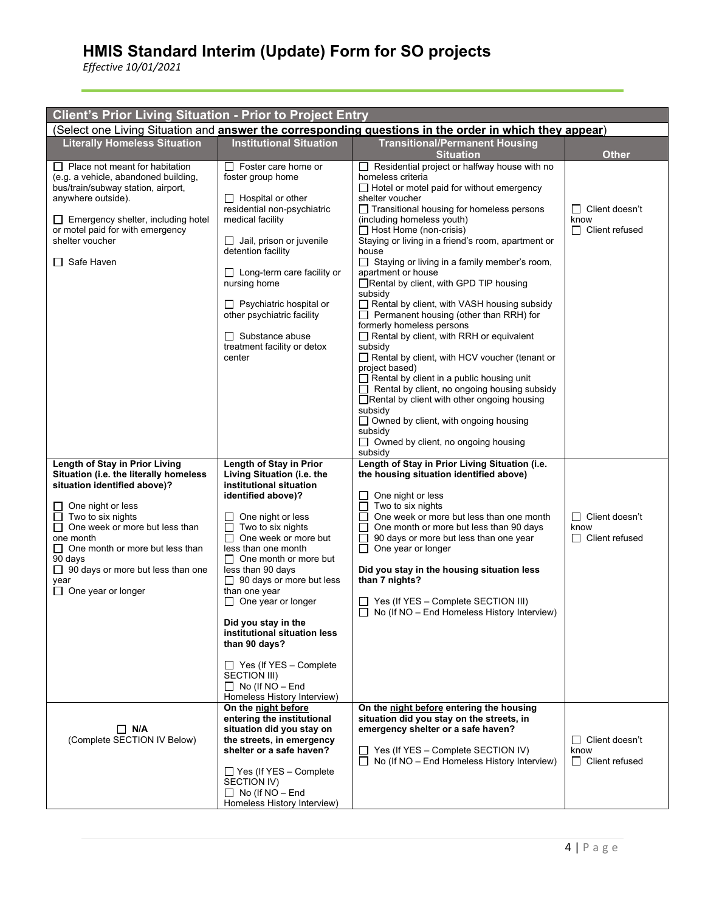| <b>Client's Prior Living Situation - Prior to Project Entry</b>                                                                                                                                                                                                                                                                                         |                                                                                                                                                                                                                                                                                                                                                                                                                                                                                                                                                        |                                                                                                                                                                                                                                                                                                                                                                                                                                                                                                                                                                                                                                                                                                                                                                                                                                                                                                                                                                                                                                |                                                           |  |  |
|---------------------------------------------------------------------------------------------------------------------------------------------------------------------------------------------------------------------------------------------------------------------------------------------------------------------------------------------------------|--------------------------------------------------------------------------------------------------------------------------------------------------------------------------------------------------------------------------------------------------------------------------------------------------------------------------------------------------------------------------------------------------------------------------------------------------------------------------------------------------------------------------------------------------------|--------------------------------------------------------------------------------------------------------------------------------------------------------------------------------------------------------------------------------------------------------------------------------------------------------------------------------------------------------------------------------------------------------------------------------------------------------------------------------------------------------------------------------------------------------------------------------------------------------------------------------------------------------------------------------------------------------------------------------------------------------------------------------------------------------------------------------------------------------------------------------------------------------------------------------------------------------------------------------------------------------------------------------|-----------------------------------------------------------|--|--|
| (Select one Living Situation and <b>answer the corresponding questions in the order in which they appear</b> )                                                                                                                                                                                                                                          |                                                                                                                                                                                                                                                                                                                                                                                                                                                                                                                                                        |                                                                                                                                                                                                                                                                                                                                                                                                                                                                                                                                                                                                                                                                                                                                                                                                                                                                                                                                                                                                                                |                                                           |  |  |
| <b>Literally Homeless Situation</b>                                                                                                                                                                                                                                                                                                                     | <b>Institutional Situation</b>                                                                                                                                                                                                                                                                                                                                                                                                                                                                                                                         | <b>Transitional/Permanent Housing</b><br><b>Situation</b>                                                                                                                                                                                                                                                                                                                                                                                                                                                                                                                                                                                                                                                                                                                                                                                                                                                                                                                                                                      | <b>Other</b>                                              |  |  |
| $\Box$ Place not meant for habitation<br>(e.g. a vehicle, abandoned building,<br>bus/train/subway station, airport,<br>anywhere outside).<br>$\Box$ Emergency shelter, including hotel<br>or motel paid for with emergency<br>shelter voucher<br>$\Box$ Safe Haven                                                                                      | $\Box$ Foster care home or<br>foster group home<br>$\Box$ Hospital or other<br>residential non-psychiatric<br>medical facility<br>Jail, prison or juvenile<br>$\Box$<br>detention facility<br>$\Box$ Long-term care facility or<br>nursing home<br>□ Psychiatric hospital or<br>other psychiatric facility<br>$\Box$ Substance abuse<br>treatment facility or detox<br>center                                                                                                                                                                          | $\Box$ Residential project or halfway house with no<br>homeless criteria<br>$\Box$ Hotel or motel paid for without emergency<br>shelter voucher<br>$\Box$ Transitional housing for homeless persons<br>(including homeless youth)<br>$\Box$ Host Home (non-crisis)<br>Staying or living in a friend's room, apartment or<br>house<br>$\Box$ Staying or living in a family member's room,<br>apartment or house<br>Rental by client, with GPD TIP housing<br>subsidy<br>$\Box$ Rental by client, with VASH housing subsidy<br>$\Box$ Permanent housing (other than RRH) for<br>formerly homeless persons<br>$\Box$ Rental by client, with RRH or equivalent<br>subsidy<br>Rental by client, with HCV voucher (tenant or<br>project based)<br>$\Box$ Rental by client in a public housing unit<br>$\Box$ Rental by client, no ongoing housing subsidy<br>□ Rental by client with other ongoing housing<br>subsidy<br>□ Owned by client, with ongoing housing<br>subsidy<br>$\Box$ Owned by client, no ongoing housing<br>subsidy | □ Client doesn't<br>know<br>$\Box$ Client refused         |  |  |
| Length of Stay in Prior Living<br>Situation (i.e. the literally homeless<br>situation identified above)?<br>$\Box$ One night or less<br>$\Box$ Two to six nights<br>$\Box$ One week or more but less than<br>one month<br>$\Box$ One month or more but less than<br>90 days<br>□ 90 days or more but less than one<br>year<br>$\Box$ One year or longer | Length of Stay in Prior<br>Living Situation (i.e. the<br>institutional situation<br>identified above)?<br>One night or less<br>$\mathsf{L}$<br>Two to six nights<br>$\Box$<br>One week or more but<br>П<br>less than one month<br>$\Box$ One month or more but<br>less than 90 days<br>$\Box$ 90 days or more but less<br>than one year<br>$\Box$ One year or longer<br>Did you stay in the<br>institutional situation less<br>than 90 days?<br>$\Box$ Yes (If YES - Complete<br>SECTION III)<br>$\Box$ No (If NO - End<br>Homeless History Interview) | Length of Stay in Prior Living Situation (i.e.<br>the housing situation identified above)<br>One night or less<br>$\perp$<br>$\Box$ Two to six nights<br>П<br>One week or more but less than one month<br>One month or more but less than 90 days<br>90 days or more but less than one year<br>ப<br>$\Box$ One year or longer<br>Did you stay in the housing situation less<br>than 7 nights?<br>$\Box$ Yes (If YES - Complete SECTION III)<br>$\Box$ No (If NO – End Homeless History Interview)                                                                                                                                                                                                                                                                                                                                                                                                                                                                                                                              | Client doesn't<br>$\Box$<br>know<br>$\Box$ Client refused |  |  |
| $\Box$ N/A<br>(Complete SECTION IV Below)                                                                                                                                                                                                                                                                                                               | On the night before<br>entering the institutional<br>situation did you stay on<br>the streets, in emergency<br>shelter or a safe haven?<br>□ Yes (If YES - Complete<br>SECTION IV)<br>$\Box$ No (If NO - End<br>Homeless History Interview)                                                                                                                                                                                                                                                                                                            | On the night before entering the housing<br>situation did you stay on the streets, in<br>emergency shelter or a safe haven?<br>$\Box$ Yes (If YES – Complete SECTION IV)<br>$\Box$ No (If NO – End Homeless History Interview)                                                                                                                                                                                                                                                                                                                                                                                                                                                                                                                                                                                                                                                                                                                                                                                                 | $\Box$ Client doesn't<br>know<br>$\Box$ Client refused    |  |  |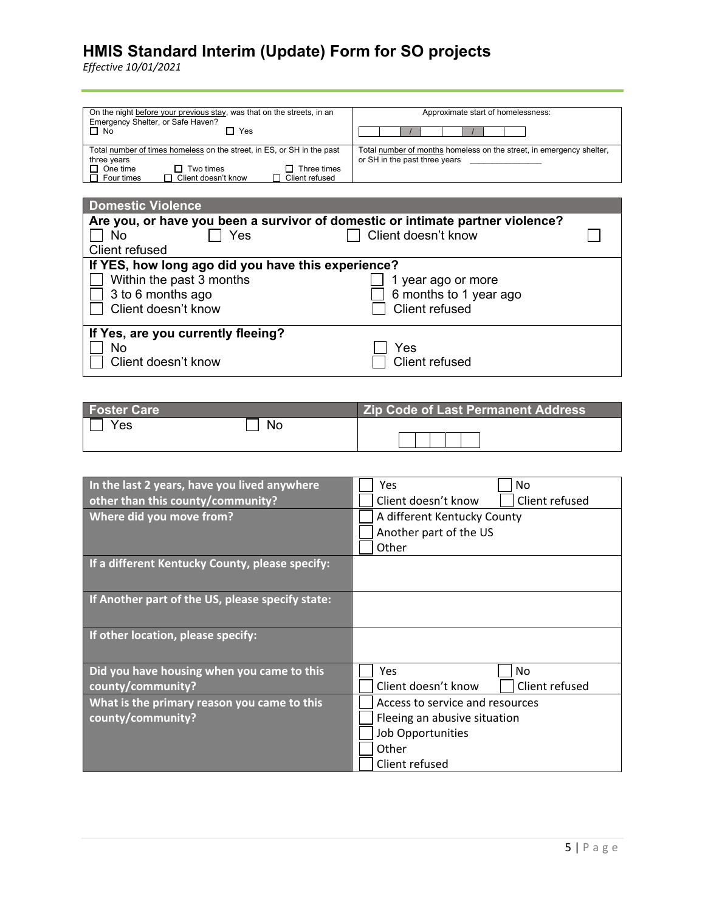| On the night before your previous stay, was that on the streets, in an<br>Emergency Shelter, or Safe Haven?<br>$\Box$ No<br>Yes                                                             | Approximate start of homelessness:                                                                    |  |  |
|---------------------------------------------------------------------------------------------------------------------------------------------------------------------------------------------|-------------------------------------------------------------------------------------------------------|--|--|
| Total number of times homeless on the street, in ES, or SH in the past<br>three years<br>$\Box$ One time<br>Two times<br>Three times<br>Client doesn't know<br>Client refused<br>Four times | Total number of months homeless on the street, in emergency shelter,<br>or SH in the past three years |  |  |

| <b>Domestic Violence</b>                                                       |                        |  |
|--------------------------------------------------------------------------------|------------------------|--|
| Are you, or have you been a survivor of domestic or intimate partner violence? |                        |  |
| Yes<br>No                                                                      | Client doesn't know    |  |
| Client refused                                                                 |                        |  |
| If YES, how long ago did you have this experience?                             |                        |  |
| Within the past 3 months                                                       | 1 year ago or more     |  |
| 3 to 6 months ago                                                              | 6 months to 1 year ago |  |
| Client doesn't know                                                            | Client refused         |  |
|                                                                                |                        |  |
| If Yes, are you currently fleeing?                                             |                        |  |
| <b>No</b>                                                                      | Yes                    |  |
| Client doesn't know                                                            | <b>Client refused</b>  |  |
|                                                                                |                        |  |

| <b>Foster Care</b> |           | <b>Zip Code of Last Permanent Address</b> |
|--------------------|-----------|-------------------------------------------|
| Yes                | <b>No</b> |                                           |

| In the last 2 years, have you lived anywhere     | No<br>Yes                             |  |  |
|--------------------------------------------------|---------------------------------------|--|--|
| other than this county/community?                | Client refused<br>Client doesn't know |  |  |
| Where did you move from?                         | A different Kentucky County           |  |  |
|                                                  | Another part of the US                |  |  |
|                                                  | Other                                 |  |  |
| If a different Kentucky County, please specify:  |                                       |  |  |
|                                                  |                                       |  |  |
| If Another part of the US, please specify state: |                                       |  |  |
|                                                  |                                       |  |  |
| If other location, please specify:               |                                       |  |  |
|                                                  |                                       |  |  |
| Did you have housing when you came to this       | <b>Yes</b><br>No.                     |  |  |
| county/community?                                | Client doesn't know<br>Client refused |  |  |
| What is the primary reason you came to this      | Access to service and resources       |  |  |
| county/community?                                | Fleeing an abusive situation          |  |  |
|                                                  | Job Opportunities                     |  |  |
|                                                  | Other                                 |  |  |
|                                                  | Client refused                        |  |  |